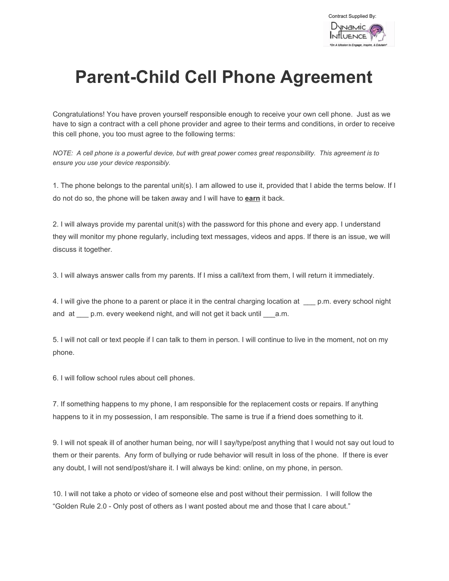

## **Parent-Child Cell Phone Agreement**

Congratulations! You have proven yourself responsible enough to receive your own cell phone. Just as we have to sign a contract with a cell phone provider and agree to their terms and conditions, in order to receive this cell phone, you too must agree to the following terms:

NOTE: A cell phone is a powerful device, but with great power comes great responsibility. This agreement is to *ensure you use your device responsibly.*

1. The phone belongs to the parental unit(s). I am allowed to use it, provided that I abide the terms below. If I do not do so, the phone will be taken away and I will have to **earn** it back.

2. I will always provide my parental unit(s) with the password for this phone and every app. I understand they will monitor my phone regularly, including text messages, videos and apps. If there is an issue, we will discuss it together.

3. I will always answer calls from my parents. If I miss a call/text from them, I will return it immediately.

4. I will give the phone to a parent or place it in the central charging location at \_\_\_ p.m. every school night and at \_\_\_ p.m. every weekend night, and will not get it back until \_\_\_ a.m.

5. I will not call or text people if I can talk to them in person. I will continue to live in the moment, not on my phone.

6. I will follow school rules about cell phones.

7. If something happens to my phone, I am responsible for the replacement costs or repairs. If anything happens to it in my possession, I am responsible. The same is true if a friend does something to it.

9. I will not speak ill of another human being, nor will I say/type/post anything that I would not say out loud to them or their parents. Any form of bullying or rude behavior will result in loss of the phone. If there is ever any doubt, I will not send/post/share it. I will always be kind: online, on my phone, in person.

10. I will not take a photo or video of someone else and post without their permission. I will follow the "Golden Rule 2.0 - Only post of others as I want posted about me and those that I care about."